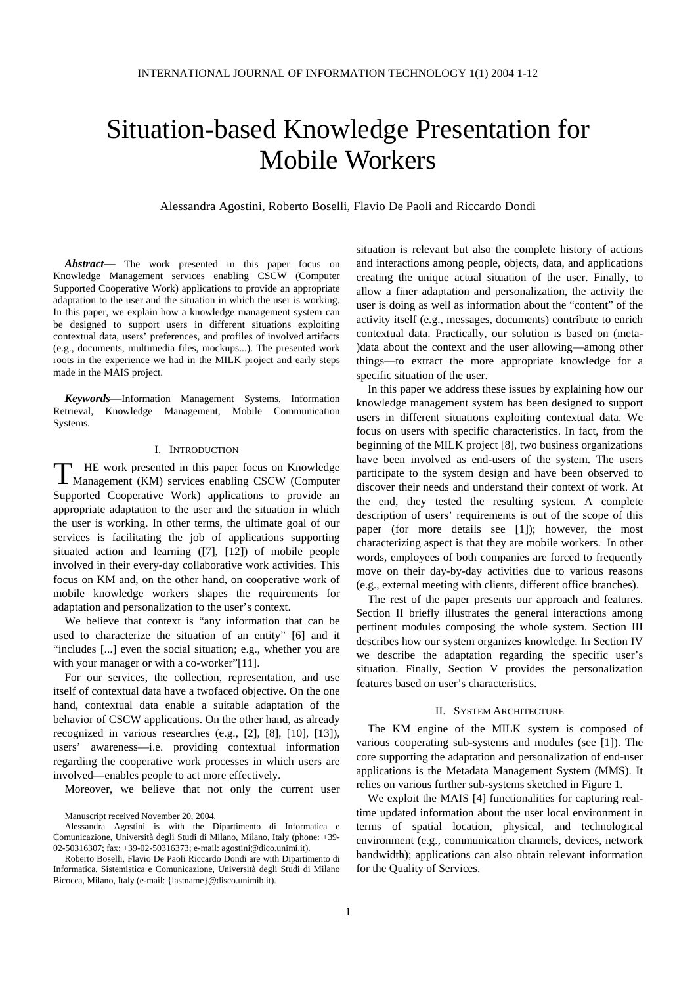# Situation-based Knowledge Presentation for Mobile Workers

Alessandra Agostini, Roberto Boselli, Flavio De Paoli and Riccardo Dondi

*Abstract***—** The work presented in this paper focus on Knowledge Management services enabling CSCW (Computer Supported Cooperative Work) applications to provide an appropriate adaptation to the user and the situation in which the user is working. In this paper, we explain how a knowledge management system can be designed to support users in different situations exploiting contextual data, users' preferences, and profiles of involved artifacts (e.g., documents, multimedia files, mockups...). The presented work roots in the experience we had in the MILK project and early steps made in the MAIS project.

*Keywords***—**Information Management Systems, Information Retrieval, Knowledge Management, Mobile Communication Systems.

## I. INTRODUCTION

HE work presented in this paper focus on Knowledge THE work presented in this paper focus on Knowledge<br>
Management (KM) services enabling CSCW (Computer Supported Cooperative Work) applications to provide an appropriate adaptation to the user and the situation in which the user is working. In other terms, the ultimate goal of our services is facilitating the job of applications supporting situated action and learning ([7], [12]) of mobile people involved in their every-day collaborative work activities. This focus on KM and, on the other hand, on cooperative work of mobile knowledge workers shapes the requirements for adaptation and personalization to the user's context.

We believe that context is "any information that can be used to characterize the situation of an entity" [6] and it "includes [...] even the social situation; e.g., whether you are with your manager or with a co-worker"[11].

For our services, the collection, representation, and use itself of contextual data have a twofaced objective. On the one hand, contextual data enable a suitable adaptation of the behavior of CSCW applications. On the other hand, as already recognized in various researches (e.g., [2], [8], [10], [13]), users' awareness—i.e. providing contextual information regarding the cooperative work processes in which users are involved—enables people to act more effectively.

Moreover, we believe that not only the current user

situation is relevant but also the complete history of actions and interactions among people, objects, data, and applications creating the unique actual situation of the user. Finally, to allow a finer adaptation and personalization, the activity the user is doing as well as information about the "content" of the activity itself (e.g., messages, documents) contribute to enrich contextual data. Practically, our solution is based on (meta- )data about the context and the user allowing—among other things—to extract the more appropriate knowledge for a specific situation of the user.

In this paper we address these issues by explaining how our knowledge management system has been designed to support users in different situations exploiting contextual data. We focus on users with specific characteristics. In fact, from the beginning of the MILK project [8], two business organizations have been involved as end-users of the system. The users participate to the system design and have been observed to discover their needs and understand their context of work. At the end, they tested the resulting system. A complete description of users' requirements is out of the scope of this paper (for more details see [1]); however, the most characterizing aspect is that they are mobile workers. In other words, employees of both companies are forced to frequently move on their day-by-day activities due to various reasons (e.g., external meeting with clients, different office branches).

The rest of the paper presents our approach and features. Section II briefly illustrates the general interactions among pertinent modules composing the whole system. Section III describes how our system organizes knowledge. In Section IV we describe the adaptation regarding the specific user's situation. Finally, Section V provides the personalization features based on user's characteristics.

### II. SYSTEM ARCHITECTURE

The KM engine of the MILK system is composed of various cooperating sub-systems and modules (see [1]). The core supporting the adaptation and personalization of end-user applications is the Metadata Management System (MMS). It relies on various further sub-systems sketched in Figure 1.

We exploit the MAIS [4] functionalities for capturing realtime updated information about the user local environment in terms of spatial location, physical, and technological environment (e.g., communication channels, devices, network bandwidth); applications can also obtain relevant information for the Quality of Services.

Manuscript received November 20, 2004.

Alessandra Agostini is with the Dipartimento di Informatica e Comunicazione, Università degli Studi di Milano, Milano, Italy (phone: +39- 02-50316307; fax:  $+39-02-50316373$ ; e-mail: agostini@dico.unimi.it).

Roberto Boselli, Flavio De Paoli Riccardo Dondi are with Dipartimento di Informatica, Sistemistica e Comunicazione, Università degli Studi di Milano Bicocca, Milano, Italy (e-mail: {lastname}@disco.unimib.it).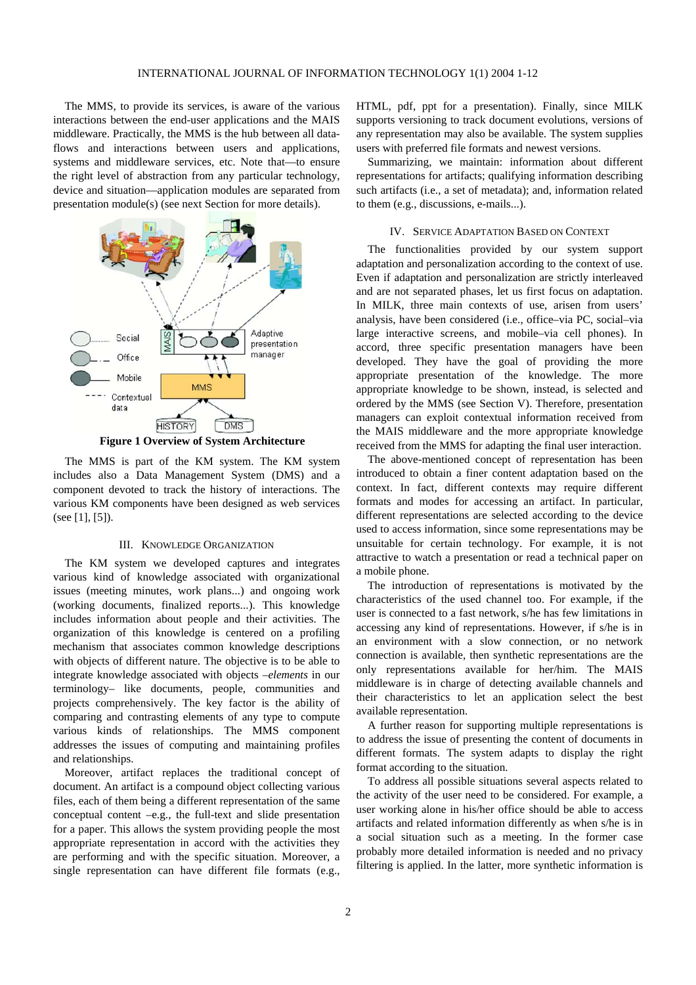The MMS, to provide its services, is aware of the various interactions between the end-user applications and the MAIS middleware. Practically, the MMS is the hub between all dataflows and interactions between users and applications, systems and middleware services, etc. Note that—to ensure the right level of abstraction from any particular technology, device and situation—application modules are separated from presentation module(s) (see next Section for more details).



**Figure 1 Overview of System Architecture** 

The MMS is part of the KM system. The KM system includes also a Data Management System (DMS) and a component devoted to track the history of interactions. The various KM components have been designed as web services (see [1], [5]).

## III. KNOWLEDGE ORGANIZATION

The KM system we developed captures and integrates various kind of knowledge associated with organizational issues (meeting minutes, work plans...) and ongoing work (working documents, finalized reports...). This knowledge includes information about people and their activities. The organization of this knowledge is centered on a profiling mechanism that associates common knowledge descriptions with objects of different nature. The objective is to be able to integrate knowledge associated with objects –*elements* in our terminology– like documents, people, communities and projects comprehensively. The key factor is the ability of comparing and contrasting elements of any type to compute various kinds of relationships. The MMS component addresses the issues of computing and maintaining profiles and relationships.

Moreover, artifact replaces the traditional concept of document. An artifact is a compound object collecting various files, each of them being a different representation of the same conceptual content –e.g., the full-text and slide presentation for a paper. This allows the system providing people the most appropriate representation in accord with the activities they are performing and with the specific situation. Moreover, a single representation can have different file formats (e.g., HTML, pdf, ppt for a presentation). Finally, since MILK supports versioning to track document evolutions, versions of any representation may also be available. The system supplies users with preferred file formats and newest versions.

Summarizing, we maintain: information about different representations for artifacts; qualifying information describing such artifacts (i.e., a set of metadata); and, information related to them (e.g., discussions, e-mails...).

#### IV. SERVICE ADAPTATION BASED ON CONTEXT

The functionalities provided by our system support adaptation and personalization according to the context of use. Even if adaptation and personalization are strictly interleaved and are not separated phases, let us first focus on adaptation. In MILK, three main contexts of use, arisen from users' analysis, have been considered (i.e., office–via PC, social–via large interactive screens, and mobile–via cell phones). In accord, three specific presentation managers have been developed. They have the goal of providing the more appropriate presentation of the knowledge. The more appropriate knowledge to be shown, instead, is selected and ordered by the MMS (see Section V). Therefore, presentation managers can exploit contextual information received from the MAIS middleware and the more appropriate knowledge received from the MMS for adapting the final user interaction.

The above-mentioned concept of representation has been introduced to obtain a finer content adaptation based on the context. In fact, different contexts may require different formats and modes for accessing an artifact. In particular, different representations are selected according to the device used to access information, since some representations may be unsuitable for certain technology. For example, it is not attractive to watch a presentation or read a technical paper on a mobile phone.

The introduction of representations is motivated by the characteristics of the used channel too. For example, if the user is connected to a fast network, s/he has few limitations in accessing any kind of representations. However, if s/he is in an environment with a slow connection, or no network connection is available, then synthetic representations are the only representations available for her/him. The MAIS middleware is in charge of detecting available channels and their characteristics to let an application select the best available representation.

A further reason for supporting multiple representations is to address the issue of presenting the content of documents in different formats. The system adapts to display the right format according to the situation.

To address all possible situations several aspects related to the activity of the user need to be considered. For example, a user working alone in his/her office should be able to access artifacts and related information differently as when s/he is in a social situation such as a meeting. In the former case probably more detailed information is needed and no privacy filtering is applied. In the latter, more synthetic information is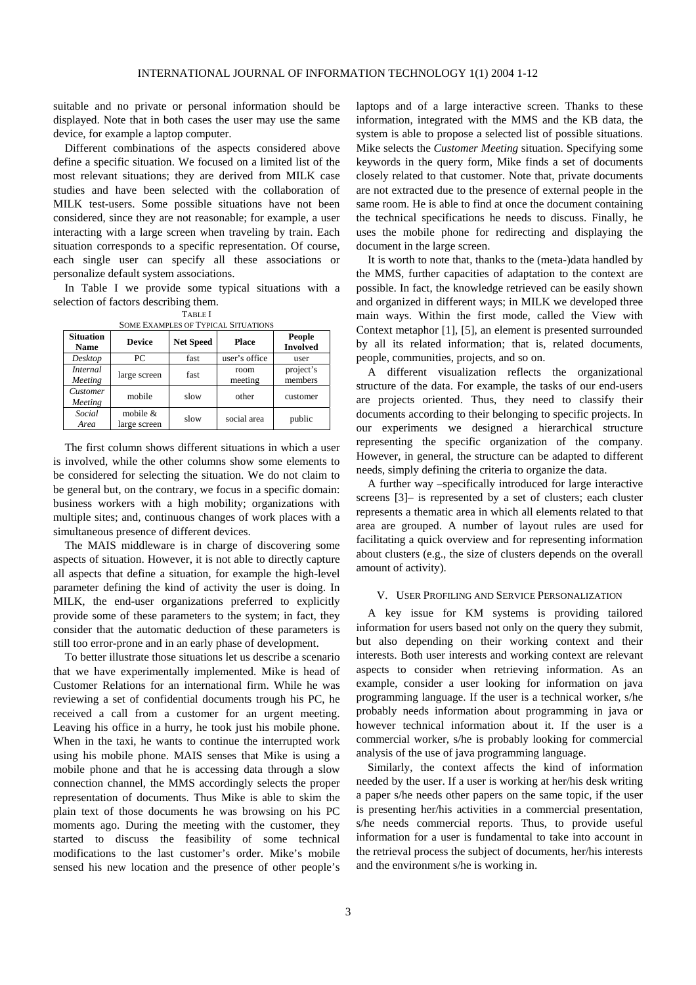suitable and no private or personal information should be displayed. Note that in both cases the user may use the same device, for example a laptop computer.

Different combinations of the aspects considered above define a specific situation. We focused on a limited list of the most relevant situations; they are derived from MILK case studies and have been selected with the collaboration of MILK test-users. Some possible situations have not been considered, since they are not reasonable; for example, a user interacting with a large screen when traveling by train. Each situation corresponds to a specific representation. Of course, each single user can specify all these associations or personalize default system associations.

In Table I we provide some typical situations with a selection of factors describing them.

| <b>SOME EXAMPLES OF TYPICAL SITUATIONS</b> |                            |                  |                 |                                  |
|--------------------------------------------|----------------------------|------------------|-----------------|----------------------------------|
| <b>Situation</b><br><b>Name</b>            | <b>Device</b>              | <b>Net Speed</b> | Place           | <b>People</b><br><b>Involved</b> |
| Desktop                                    | PС                         | fast             | user's office   | user                             |
| Internal<br>Meeting                        | large screen               | fast             | room<br>meeting | project's<br>members             |
| Customer<br>Meeting                        | mobile                     | slow             | other           | customer                         |
| Social<br>Area                             | mobile $&$<br>large screen | slow             | social area     | public                           |

The first column shows different situations in which a user is involved, while the other columns show some elements to be considered for selecting the situation. We do not claim to be general but, on the contrary, we focus in a specific domain: business workers with a high mobility; organizations with multiple sites; and, continuous changes of work places with a simultaneous presence of different devices.

The MAIS middleware is in charge of discovering some aspects of situation. However, it is not able to directly capture all aspects that define a situation, for example the high-level parameter defining the kind of activity the user is doing. In MILK, the end-user organizations preferred to explicitly provide some of these parameters to the system; in fact, they consider that the automatic deduction of these parameters is still too error-prone and in an early phase of development.

To better illustrate those situations let us describe a scenario that we have experimentally implemented. Mike is head of Customer Relations for an international firm. While he was reviewing a set of confidential documents trough his PC, he received a call from a customer for an urgent meeting. Leaving his office in a hurry, he took just his mobile phone. When in the taxi, he wants to continue the interrupted work using his mobile phone. MAIS senses that Mike is using a mobile phone and that he is accessing data through a slow connection channel, the MMS accordingly selects the proper representation of documents. Thus Mike is able to skim the plain text of those documents he was browsing on his PC moments ago. During the meeting with the customer, they started to discuss the feasibility of some technical modifications to the last customer's order. Mike's mobile sensed his new location and the presence of other people's laptops and of a large interactive screen. Thanks to these information, integrated with the MMS and the KB data, the system is able to propose a selected list of possible situations. Mike selects the *Customer Meeting* situation. Specifying some keywords in the query form, Mike finds a set of documents closely related to that customer. Note that, private documents are not extracted due to the presence of external people in the same room. He is able to find at once the document containing the technical specifications he needs to discuss. Finally, he uses the mobile phone for redirecting and displaying the document in the large screen.

It is worth to note that, thanks to the (meta-)data handled by the MMS, further capacities of adaptation to the context are possible. In fact, the knowledge retrieved can be easily shown and organized in different ways; in MILK we developed three main ways. Within the first mode, called the View with Context metaphor [1], [5], an element is presented surrounded by all its related information; that is, related documents, people, communities, projects, and so on.

A different visualization reflects the organizational structure of the data. For example, the tasks of our end-users are projects oriented. Thus, they need to classify their documents according to their belonging to specific projects. In our experiments we designed a hierarchical structure representing the specific organization of the company. However, in general, the structure can be adapted to different needs, simply defining the criteria to organize the data.

A further way –specifically introduced for large interactive screens [3]– is represented by a set of clusters; each cluster represents a thematic area in which all elements related to that area are grouped. A number of layout rules are used for facilitating a quick overview and for representing information about clusters (e.g., the size of clusters depends on the overall amount of activity).

# V. USER PROFILING AND SERVICE PERSONALIZATION

A key issue for KM systems is providing tailored information for users based not only on the query they submit, but also depending on their working context and their interests. Both user interests and working context are relevant aspects to consider when retrieving information. As an example, consider a user looking for information on java programming language. If the user is a technical worker, s/he probably needs information about programming in java or however technical information about it. If the user is a commercial worker, s/he is probably looking for commercial analysis of the use of java programming language.

Similarly, the context affects the kind of information needed by the user. If a user is working at her/his desk writing a paper s/he needs other papers on the same topic, if the user is presenting her/his activities in a commercial presentation, s/he needs commercial reports. Thus, to provide useful information for a user is fundamental to take into account in the retrieval process the subject of documents, her/his interests and the environment s/he is working in.